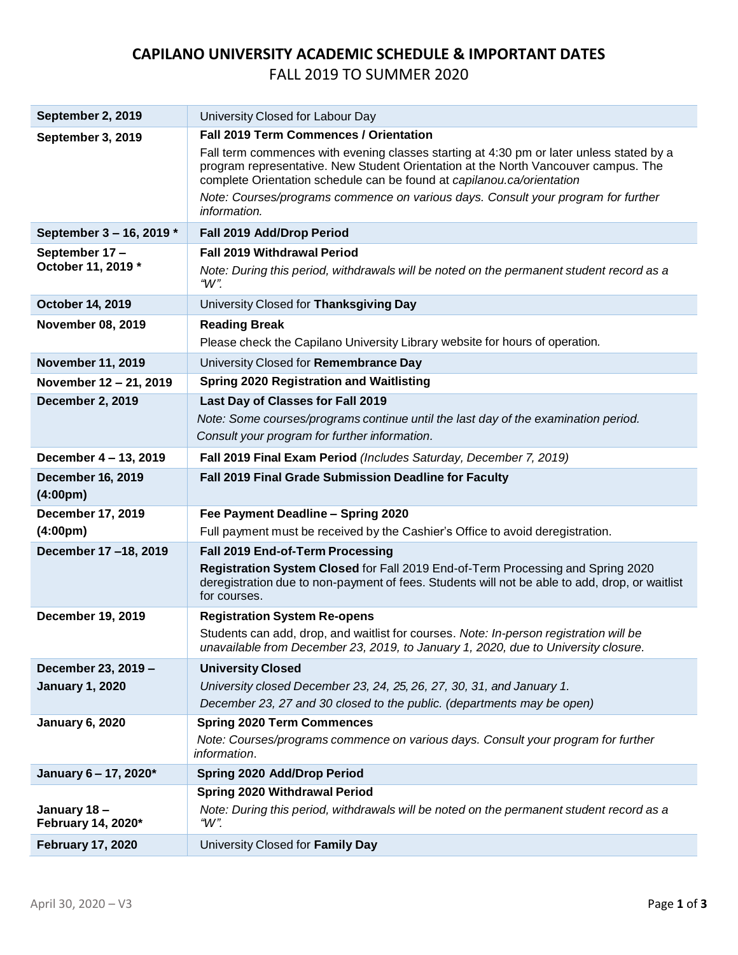## **CAPILANO UNIVERSITY ACADEMIC SCHEDULE & IMPORTANT DATES** FALL 2019 TO SUMMER 2020

| September 2, 2019                              | University Closed for Labour Day                                                                                                                                                                                                                         |
|------------------------------------------------|----------------------------------------------------------------------------------------------------------------------------------------------------------------------------------------------------------------------------------------------------------|
| September 3, 2019                              | <b>Fall 2019 Term Commences / Orientation</b>                                                                                                                                                                                                            |
|                                                | Fall term commences with evening classes starting at 4:30 pm or later unless stated by a<br>program representative. New Student Orientation at the North Vancouver campus. The<br>complete Orientation schedule can be found at capilanou.ca/orientation |
|                                                | Note: Courses/programs commence on various days. Consult your program for further<br>information.                                                                                                                                                        |
| September 3 - 16, 2019 *                       | Fall 2019 Add/Drop Period                                                                                                                                                                                                                                |
| September 17-                                  | <b>Fall 2019 Withdrawal Period</b>                                                                                                                                                                                                                       |
| October 11, 2019 *                             | Note: During this period, withdrawals will be noted on the permanent student record as a<br>" $W$ ".                                                                                                                                                     |
| <b>October 14, 2019</b>                        | University Closed for Thanksgiving Day                                                                                                                                                                                                                   |
| <b>November 08, 2019</b>                       | <b>Reading Break</b>                                                                                                                                                                                                                                     |
|                                                | Please check the Capilano University Library website for hours of operation.                                                                                                                                                                             |
| <b>November 11, 2019</b>                       | University Closed for Remembrance Day                                                                                                                                                                                                                    |
| November 12 - 21, 2019                         | <b>Spring 2020 Registration and Waitlisting</b>                                                                                                                                                                                                          |
| <b>December 2, 2019</b>                        | Last Day of Classes for Fall 2019                                                                                                                                                                                                                        |
|                                                | Note: Some courses/programs continue until the last day of the examination period.                                                                                                                                                                       |
|                                                | Consult your program for further information.                                                                                                                                                                                                            |
| December 4 - 13, 2019                          | Fall 2019 Final Exam Period (Includes Saturday, December 7, 2019)                                                                                                                                                                                        |
| <b>December 16, 2019</b><br>$(4:00 \text{pm})$ | Fall 2019 Final Grade Submission Deadline for Faculty                                                                                                                                                                                                    |
| <b>December 17, 2019</b>                       | Fee Payment Deadline - Spring 2020                                                                                                                                                                                                                       |
| (4:00 <sub>pm</sub> )                          | Full payment must be received by the Cashier's Office to avoid deregistration.                                                                                                                                                                           |
| December 17-18, 2019                           | Fall 2019 End-of-Term Processing                                                                                                                                                                                                                         |
|                                                | Registration System Closed for Fall 2019 End-of-Term Processing and Spring 2020<br>deregistration due to non-payment of fees. Students will not be able to add, drop, or waitlist<br>for courses.                                                        |
| <b>December 19, 2019</b>                       | <b>Registration System Re-opens</b>                                                                                                                                                                                                                      |
|                                                | Students can add, drop, and waitlist for courses. Note: In-person registration will be<br>unavailable from December 23, 2019, to January 1, 2020, due to University closure.                                                                             |
| December 23, 2019 -                            | <b>University Closed</b>                                                                                                                                                                                                                                 |
| <b>January 1, 2020</b>                         | University closed December 23, 24, 25, 26, 27, 30, 31, and January 1.                                                                                                                                                                                    |
|                                                | December 23, 27 and 30 closed to the public. (departments may be open)                                                                                                                                                                                   |
| <b>January 6, 2020</b>                         | <b>Spring 2020 Term Commences</b>                                                                                                                                                                                                                        |
|                                                | Note: Courses/programs commence on various days. Consult your program for further<br>information.                                                                                                                                                        |
| January 6 - 17, 2020*                          | <b>Spring 2020 Add/Drop Period</b>                                                                                                                                                                                                                       |
|                                                | <b>Spring 2020 Withdrawal Period</b>                                                                                                                                                                                                                     |
| January 18-<br>February 14, 2020*              | Note: During this period, withdrawals will be noted on the permanent student record as a<br>"W".                                                                                                                                                         |
| <b>February 17, 2020</b>                       | University Closed for Family Day                                                                                                                                                                                                                         |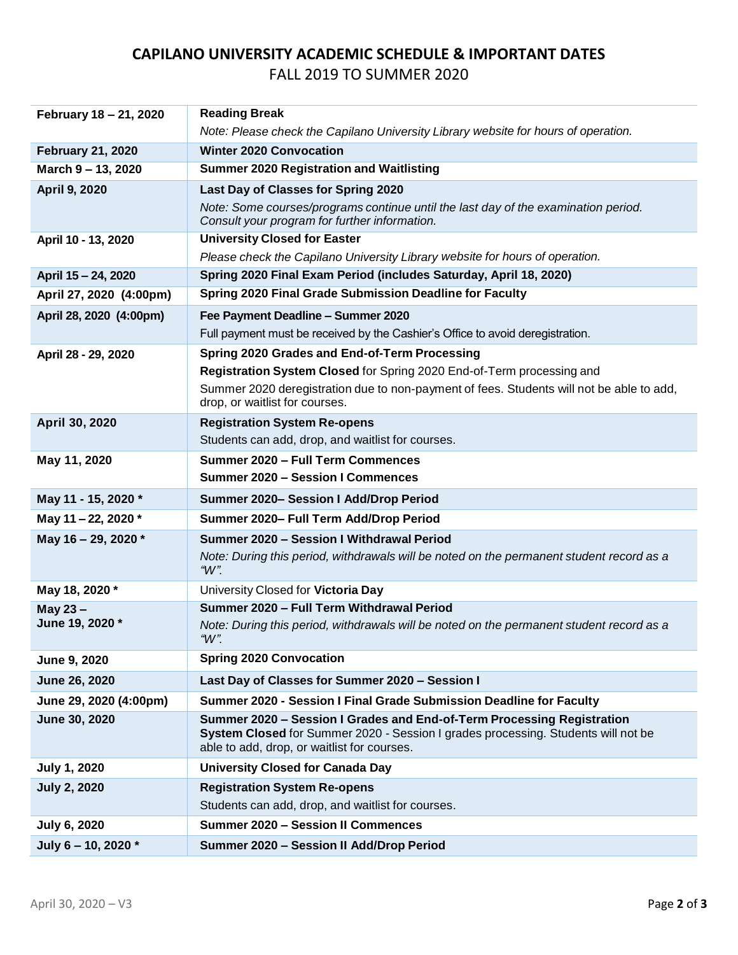## **CAPILANO UNIVERSITY ACADEMIC SCHEDULE & IMPORTANT DATES** FALL 2019 TO SUMMER 2020

| February 18 - 21, 2020   | <b>Reading Break</b>                                                                                                                                                                                       |
|--------------------------|------------------------------------------------------------------------------------------------------------------------------------------------------------------------------------------------------------|
|                          | Note: Please check the Capilano University Library website for hours of operation.                                                                                                                         |
| <b>February 21, 2020</b> | <b>Winter 2020 Convocation</b>                                                                                                                                                                             |
| March 9 - 13, 2020       | <b>Summer 2020 Registration and Waitlisting</b>                                                                                                                                                            |
| <b>April 9, 2020</b>     | Last Day of Classes for Spring 2020                                                                                                                                                                        |
|                          | Note: Some courses/programs continue until the last day of the examination period.<br>Consult your program for further information.                                                                        |
| April 10 - 13, 2020      | <b>University Closed for Easter</b>                                                                                                                                                                        |
|                          | Please check the Capilano University Library website for hours of operation.                                                                                                                               |
| April 15 - 24, 2020      | Spring 2020 Final Exam Period (includes Saturday, April 18, 2020)                                                                                                                                          |
| April 27, 2020 (4:00pm)  | Spring 2020 Final Grade Submission Deadline for Faculty                                                                                                                                                    |
| April 28, 2020 (4:00pm)  | Fee Payment Deadline - Summer 2020                                                                                                                                                                         |
|                          | Full payment must be received by the Cashier's Office to avoid deregistration.                                                                                                                             |
| April 28 - 29, 2020      | Spring 2020 Grades and End-of-Term Processing                                                                                                                                                              |
|                          | Registration System Closed for Spring 2020 End-of-Term processing and                                                                                                                                      |
|                          | Summer 2020 deregistration due to non-payment of fees. Students will not be able to add,<br>drop, or waitlist for courses.                                                                                 |
| April 30, 2020           | <b>Registration System Re-opens</b>                                                                                                                                                                        |
|                          | Students can add, drop, and waitlist for courses.                                                                                                                                                          |
| May 11, 2020             | Summer 2020 - Full Term Commences                                                                                                                                                                          |
|                          | <b>Summer 2020 - Session I Commences</b>                                                                                                                                                                   |
|                          |                                                                                                                                                                                                            |
| May 11 - 15, 2020 *      | Summer 2020- Session I Add/Drop Period                                                                                                                                                                     |
| May 11-22, 2020 *        | Summer 2020- Full Term Add/Drop Period                                                                                                                                                                     |
| May 16 - 29, 2020 *      | Summer 2020 - Session I Withdrawal Period                                                                                                                                                                  |
|                          | Note: During this period, withdrawals will be noted on the permanent student record as a<br>" $W$ ".                                                                                                       |
| May 18, 2020 *           | University Closed for Victoria Day                                                                                                                                                                         |
| May 23-                  | Summer 2020 - Full Term Withdrawal Period                                                                                                                                                                  |
| June 19, 2020 *          | Note: During this period, withdrawals will be noted on the permanent student record as a<br>" $W$ ".                                                                                                       |
| June 9, 2020             | <b>Spring 2020 Convocation</b>                                                                                                                                                                             |
| June 26, 2020            | Last Day of Classes for Summer 2020 - Session I                                                                                                                                                            |
| June 29, 2020 (4:00pm)   | Summer 2020 - Session I Final Grade Submission Deadline for Faculty                                                                                                                                        |
| June 30, 2020            | Summer 2020 - Session I Grades and End-of-Term Processing Registration<br>System Closed for Summer 2020 - Session I grades processing. Students will not be<br>able to add, drop, or waitlist for courses. |
| <b>July 1, 2020</b>      | <b>University Closed for Canada Day</b>                                                                                                                                                                    |
| <b>July 2, 2020</b>      | <b>Registration System Re-opens</b>                                                                                                                                                                        |
|                          | Students can add, drop, and waitlist for courses.                                                                                                                                                          |
| July 6, 2020             | <b>Summer 2020 - Session II Commences</b>                                                                                                                                                                  |